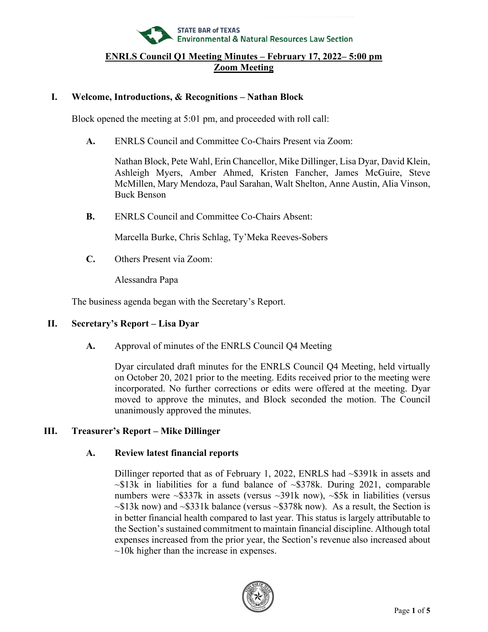

### **I. Welcome, Introductions, & Recognitions – Nathan Block**

Block opened the meeting at 5:01 pm, and proceeded with roll call:

**A.** ENRLS Council and Committee Co-Chairs Present via Zoom:

Nathan Block, Pete Wahl, Erin Chancellor, Mike Dillinger, Lisa Dyar, David Klein, Ashleigh Myers, Amber Ahmed, Kristen Fancher, James McGuire, Steve McMillen, Mary Mendoza, Paul Sarahan, Walt Shelton, Anne Austin, Alia Vinson, Buck Benson

**B.** ENRLS Council and Committee Co-Chairs Absent:

Marcella Burke, Chris Schlag, Ty'Meka Reeves-Sobers

**C.** Others Present via Zoom:

Alessandra Papa

The business agenda began with the Secretary's Report.

# **II. Secretary's Report – Lisa Dyar**

**A.** Approval of minutes of the ENRLS Council Q4 Meeting

Dyar circulated draft minutes for the ENRLS Council Q4 Meeting, held virtually on October 20, 2021 prior to the meeting. Edits received prior to the meeting were incorporated. No further corrections or edits were offered at the meeting. Dyar moved to approve the minutes, and Block seconded the motion. The Council unanimously approved the minutes.

# **III. Treasurer's Report – Mike Dillinger**

### **A. Review latest financial reports**

Dillinger reported that as of February 1, 2022, ENRLS had ~\$391k in assets and  $\sim$ \$13k in liabilities for a fund balance of  $\sim$ \$378k. During 2021, comparable numbers were ~\$337k in assets (versus ~391k now), ~\$5k in liabilities (versus  $\sim$ \$13k now) and  $\sim$ \$331k balance (versus  $\sim$ \$378k now). As a result, the Section is in better financial health compared to last year. This status is largely attributable to the Section's sustained commitment to maintain financial discipline. Although total expenses increased from the prior year, the Section's revenue also increased about  $\sim$ 10k higher than the increase in expenses.

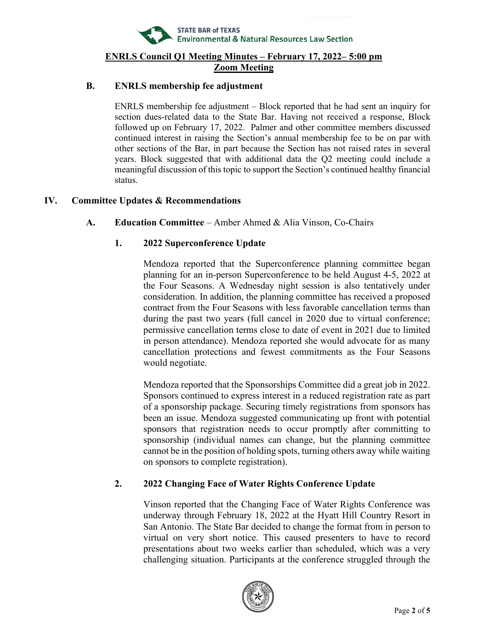

## **B. ENRLS membership fee adjustment**

ENRLS membership fee adjustment – Block reported that he had sent an inquiry for section dues-related data to the State Bar. Having not received a response, Block followed up on February 17, 2022. Palmer and other committee members discussed continued interest in raising the Section's annual membership fee to be on par with other sections of the Bar, in part because the Section has not raised rates in several years. Block suggested that with additional data the Q2 meeting could include a meaningful discussion of this topic to support the Section's continued healthy financial status.

## **IV. Committee Updates & Recommendations**

## **A. Education Committee** – Amber Ahmed & Alia Vinson, Co-Chairs

# **1. 2022 Superconference Update**

Mendoza reported that the Superconference planning committee began planning for an in-person Superconference to be held August 4-5, 2022 at the Four Seasons. A Wednesday night session is also tentatively under consideration. In addition, the planning committee has received a proposed contract from the Four Seasons with less favorable cancellation terms than during the past two years (full cancel in 2020 due to virtual conference; permissive cancellation terms close to date of event in 2021 due to limited in person attendance). Mendoza reported she would advocate for as many cancellation protections and fewest commitments as the Four Seasons would negotiate.

Mendoza reported that the Sponsorships Committee did a great job in 2022. Sponsors continued to express interest in a reduced registration rate as part of a sponsorship package. Securing timely registrations from sponsors has been an issue. Mendoza suggested communicating up front with potential sponsors that registration needs to occur promptly after committing to sponsorship (individual names can change, but the planning committee cannot be in the position of holding spots, turning others away while waiting on sponsors to complete registration).

# **2. 2022 Changing Face of Water Rights Conference Update**

Vinson reported that the Changing Face of Water Rights Conference was underway through February 18, 2022 at the Hyatt Hill Country Resort in San Antonio. The State Bar decided to change the format from in person to virtual on very short notice. This caused presenters to have to record presentations about two weeks earlier than scheduled, which was a very challenging situation. Participants at the conference struggled through the

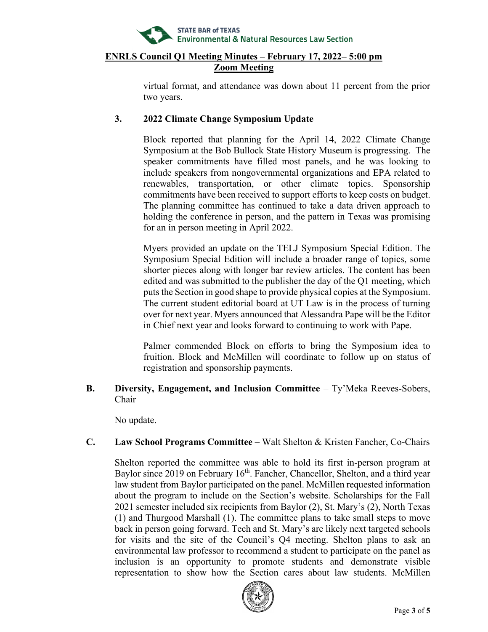

virtual format, and attendance was down about 11 percent from the prior two years.

## **3. 2022 Climate Change Symposium Update**

Block reported that planning for the April 14, 2022 Climate Change Symposium at the Bob Bullock State History Museum is progressing. The speaker commitments have filled most panels, and he was looking to include speakers from nongovernmental organizations and EPA related to renewables, transportation, or other climate topics. Sponsorship commitments have been received to support efforts to keep costs on budget. The planning committee has continued to take a data driven approach to holding the conference in person, and the pattern in Texas was promising for an in person meeting in April 2022.

Myers provided an update on the TELJ Symposium Special Edition. The Symposium Special Edition will include a broader range of topics, some shorter pieces along with longer bar review articles. The content has been edited and was submitted to the publisher the day of the Q1 meeting, which puts the Section in good shape to provide physical copies at the Symposium. The current student editorial board at UT Law is in the process of turning over for next year. Myers announced that Alessandra Pape will be the Editor in Chief next year and looks forward to continuing to work with Pape.

Palmer commended Block on efforts to bring the Symposium idea to fruition. Block and McMillen will coordinate to follow up on status of registration and sponsorship payments.

**B. Diversity, Engagement, and Inclusion Committee** – Ty'Meka Reeves-Sobers, Chair

No update.

# **C. Law School Programs Committee** – Walt Shelton & Kristen Fancher, Co-Chairs

Shelton reported the committee was able to hold its first in-person program at Baylor since 2019 on February 16<sup>th</sup>. Fancher, Chancellor, Shelton, and a third year law student from Baylor participated on the panel. McMillen requested information about the program to include on the Section's website. Scholarships for the Fall 2021 semester included six recipients from Baylor (2), St. Mary's (2), North Texas (1) and Thurgood Marshall (1). The committee plans to take small steps to move back in person going forward. Tech and St. Mary's are likely next targeted schools for visits and the site of the Council's Q4 meeting. Shelton plans to ask an environmental law professor to recommend a student to participate on the panel as inclusion is an opportunity to promote students and demonstrate visible representation to show how the Section cares about law students. McMillen

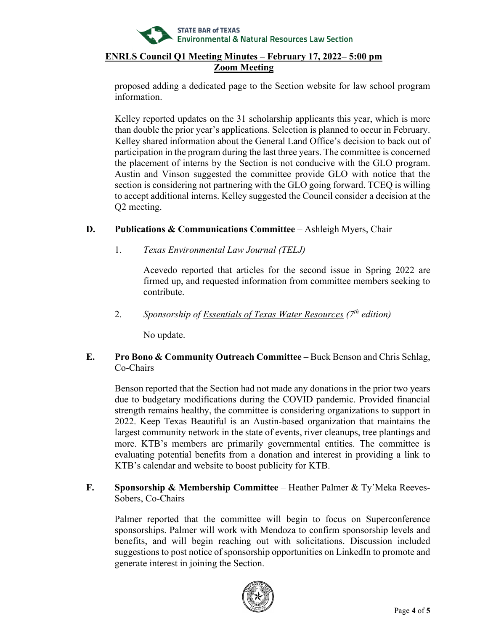

proposed adding a dedicated page to the Section website for law school program information.

Kelley reported updates on the 31 scholarship applicants this year, which is more than double the prior year's applications. Selection is planned to occur in February. Kelley shared information about the General Land Office's decision to back out of participation in the program during the last three years. The committee is concerned the placement of interns by the Section is not conducive with the GLO program. Austin and Vinson suggested the committee provide GLO with notice that the section is considering not partnering with the GLO going forward. TCEQ is willing to accept additional interns. Kelley suggested the Council consider a decision at the Q2 meeting.

# **D.** Publications & Communications Committee – Ashleigh Myers, Chair

1. *Texas Environmental Law Journal (TELJ)*

Acevedo reported that articles for the second issue in Spring 2022 are firmed up, and requested information from committee members seeking to contribute.

2. *Sponsorship of Essentials of Texas Water Resources (7th edition)*

No update.

# **E. Pro Bono & Community Outreach Committee** – Buck Benson and Chris Schlag, Co-Chairs

Benson reported that the Section had not made any donations in the prior two years due to budgetary modifications during the COVID pandemic. Provided financial strength remains healthy, the committee is considering organizations to support in 2022. Keep Texas Beautiful is an Austin-based organization that maintains the largest community network in the state of events, river cleanups, tree plantings and more. KTB's members are primarily governmental entities. The committee is evaluating potential benefits from a donation and interest in providing a link to KTB's calendar and website to boost publicity for KTB.

**F. Sponsorship & Membership Committee** – Heather Palmer & Ty'Meka Reeves-Sobers, Co-Chairs

Palmer reported that the committee will begin to focus on Superconference sponsorships. Palmer will work with Mendoza to confirm sponsorship levels and benefits, and will begin reaching out with solicitations. Discussion included suggestions to post notice of sponsorship opportunities on LinkedIn to promote and generate interest in joining the Section.